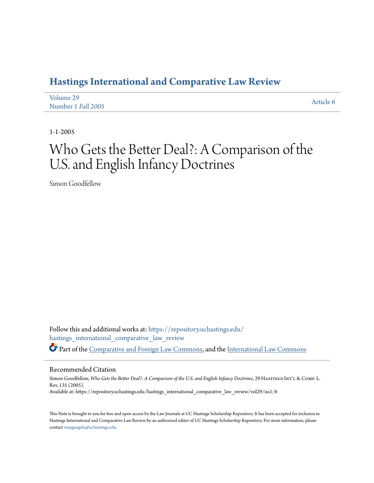# **[Hastings International and Comparative Law Review](https://repository.uchastings.edu/hastings_international_comparative_law_review?utm_source=repository.uchastings.edu%2Fhastings_international_comparative_law_review%2Fvol29%2Fiss1%2F6&utm_medium=PDF&utm_campaign=PDFCoverPages)**

| Volume 29          | Article 6 |
|--------------------|-----------|
| Number 1 Fall 2005 |           |

1-1-2005

# Who Gets the Better Deal?: A Comparison of the U.S. and English Infancy Doctrines

Simon Goodfellow

Follow this and additional works at: [https://repository.uchastings.edu/](https://repository.uchastings.edu/hastings_international_comparative_law_review?utm_source=repository.uchastings.edu%2Fhastings_international_comparative_law_review%2Fvol29%2Fiss1%2F6&utm_medium=PDF&utm_campaign=PDFCoverPages) [hastings\\_international\\_comparative\\_law\\_review](https://repository.uchastings.edu/hastings_international_comparative_law_review?utm_source=repository.uchastings.edu%2Fhastings_international_comparative_law_review%2Fvol29%2Fiss1%2F6&utm_medium=PDF&utm_campaign=PDFCoverPages) Part of the [Comparative and Foreign Law Commons](http://network.bepress.com/hgg/discipline/836?utm_source=repository.uchastings.edu%2Fhastings_international_comparative_law_review%2Fvol29%2Fiss1%2F6&utm_medium=PDF&utm_campaign=PDFCoverPages), and the [International Law Commons](http://network.bepress.com/hgg/discipline/609?utm_source=repository.uchastings.edu%2Fhastings_international_comparative_law_review%2Fvol29%2Fiss1%2F6&utm_medium=PDF&utm_campaign=PDFCoverPages)

#### Recommended Citation

Simon Goodfellow, *Who Gets the Better Deal?: A Comparison of the U.S. and English Infancy Doctrines*, 29 HASTINGS INT'L & COMP. L. Rev. 135 (2005). Available at: https://repository.uchastings.edu/hastings\_international\_comparative\_law\_review/vol29/iss1/6

This Note is brought to you for free and open access by the Law Journals at UC Hastings Scholarship Repository. It has been accepted for inclusion in Hastings International and Comparative Law Review by an authorized editor of UC Hastings Scholarship Repository. For more information, please contact [wangangela@uchastings.edu](mailto:wangangela@uchastings.edu).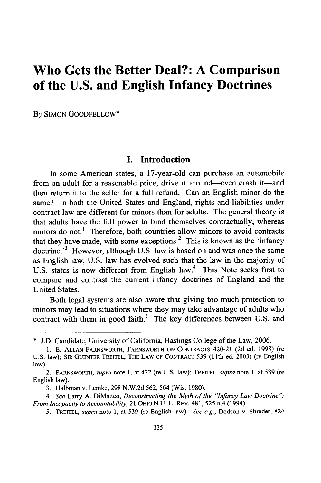# **Who Gets the Better Deal?: A Comparison of the U.S. and English Infancy Doctrines**

**By** SIMON GOODFELLOW\*

#### **I. Introduction**

In some American states, a 17-year-old can purchase an automobile from an adult for a reasonable price, drive it around-even crash it-and then return it to the seller for a full refund. Can an English minor do the same? In both the United States and England, rights and liabilities under contract law are different for minors than for adults. The general theory is that adults have the full power to bind themselves contractually, whereas minors do not.<sup>1</sup> Therefore, both countries allow minors to avoid contracts that they have made, with some exceptions. $2$  This is known as the 'infancy doctrine.<sup>3</sup> However, although U.S. law is based on and was once the same as English law, **U.S.** law has evolved such that the law in the majority of U.S. states is now different from English law.<sup>4</sup> This Note seeks first to compare and contrast the current infancy doctrines of England and the United States.

Both legal systems are also aware that giving too much protection to minors may lead to situations where they may take advantage of adults who contract with them in good faith.<sup>5</sup> The key differences between U.S. and

<sup>\*</sup> J.D. Candidate, University of Califomia, Hastings College of the Law, 2006.

<sup>1.</sup> E. ALLAN FARNSWORTH, FARNSWORTH ON CONTRACTS 420-21 (2d ed. 1998) (re U.S. law); SIR GUENTER TREITEL, THE LAW OF CONTRACT 539 (1 1th ed. 2003) (re English law).

<sup>2.</sup> FARNSWORTH, *supra* note **1,** at 422 (re U.S. law); TREITEL, *supra* note **1,** at 539 (re English law).

<sup>3.</sup> Halbman v. Lemke, 298 N.W.2d 562, 564 (Wis. 1980).

*<sup>4.</sup> See* Larry A. DiMatteo, *Deconstructing the Myth of the "Infancy Law Doctrine": From Incapacity to Accountability,* 21 OHIO N.U. L. REV. 481, 525 n.4 (1994).

<sup>5.</sup> TREITEL, *supra* note **1,** at 539 (re English law). *See e.g.,* Dodson v. Shrader, 824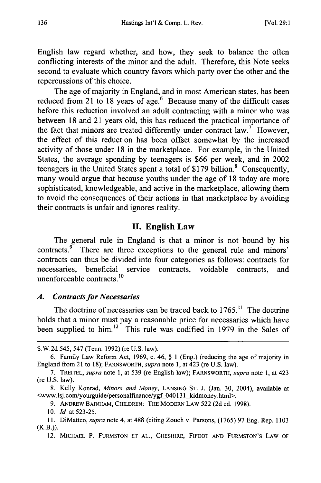English law regard whether, and how, they seek to balance the often conflicting interests of the minor and the adult. Therefore, this Note seeks second to evaluate which country favors which party over the other and the repercussions of this choice.

The age of majority in England, and in most American states, has been reduced from 21 to 18 years of age.<sup>6</sup> Because many of the difficult cases before this reduction involved an adult contracting with a minor who was between 18 and 21 years old, this has reduced the practical importance of the fact that minors are treated differently under contract  $law$ .<sup>7</sup> However, the effect of this reduction has been offset somewhat by the increased activity of those under 18 in the marketplace. For example, in the United States, the average spending by teenagers is \$66 per week, and in 2002 teenagers in the United States spent a total of \$179 billion.<sup>8</sup> Consequently, many would argue that because youths under the age of 18 today are more sophisticated, knowledgeable, and active in the marketplace, allowing them to avoid the consequences of their actions in that marketplace by avoiding their contracts is unfair and ignores reality.

#### **II.** English Law

The general rule in England is that a minor is not bound by his contracts.<sup>9</sup> There are three exceptions to the general rule and minors' contracts can thus be divided into four categories as follows: contracts for necessaries, beneficial service contracts, voidable contracts, and unenforceable contracts.'

#### *A. Contracts for Necessaries*

The doctrine of necessaries can be traced back to  $1765$ .<sup>11</sup> The doctrine holds that a minor must pay a reasonable price for necessaries which have been supplied to him.<sup>12</sup> This rule was codified in 1979 in the Sales of

S.W.2d 545, 547 (Tenn. 1992) (re U.S. law).

<sup>6.</sup> Family Law Reform Act, 1969, c. 46, § 1 (Eng.) (reducing the age of majority in England from 21 to 18); FARNSWORTH, *supra* note **1,** at 423 (re U.S. law).

<sup>7.</sup> TREITEL, *supra* note 1, at 539 (re English law); FARNSWORTH, *supra* note 1, at 423 (re U.S. law).

<sup>8.</sup> Kelly Konrad, *Minors and Money,* **LANSING ST.** J. (Jan. 30, 2004), available at <www.lsj.com/yourguide/personalfmance/ygf\_040131\_kidmoney.html>.

<sup>9.</sup> ANDREW BAINHAM, CHILDREN: THE MODERN LAW 522 (2d ed. 1998).

<sup>10.</sup> *Id.* at 523-25.

<sup>11.</sup> DiMatteo, *supra* note 4, at 488 (citing Zouch v. Parsons, (1765) 97 Eng. Rep. 1103  $(K.B.)$ ).

<sup>12.</sup> **MICHAEL** P. **FURMSTON ET AL.,** CHESHIRE, FIFOOT **AND** FURMSTON's LAW OF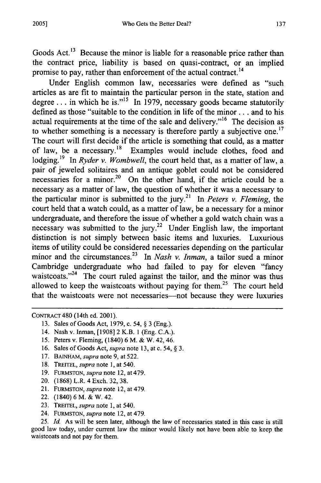137

Goods Act.<sup>13</sup> Because the minor is liable for a reasonable price rather than the contract price, liability is based on quasi-contract, or an implied promise to pay, rather than enforcement of the actual contract. 1

Under English common law, necessaries were defined as "such articles as are fit to maintain the particular person in the state, station and degree ... in which he is."<sup>15</sup> In 1979, necessary goods became statutorily defined as those "suitable to the condition in life of the minor.. **.** and to his actual requirements at the time of the sale and delivery."<sup>16</sup> The decision as to whether something is a necessary is therefore partly a subjective one.<sup>17</sup> The court will first decide if the article is something that could, as a matter of law, be a necessary.<sup>18</sup> Examples would include clothes, food and lodging.<sup>19</sup> In *Ryder v. Wombwell*, the court held that, as a matter of law, a pair of jeweled solitaires and an antique goblet could not be considered necessaries for a minor.<sup>20</sup> On the other hand, if the article could be a necessary as a matter of law, the question of whether it was a necessary to the particular minor is submitted to the jury.2' In *Peters v. Fleming,* the court held that a watch could, as a matter of law, be a necessary for a minor undergraduate, and therefore the issue of whether a gold watch chain was a necessary was submitted to the jury.<sup>22</sup> Under English law, the important distinction is not simply between basic items and luxuries. Luxurious items of utility could be considered necessaries depending on the particular minor and the circumstances.<sup>23</sup> In *Nash v. Inman*, a tailor sued a minor Cambridge undergraduate who had failed to pay for eleven "fancy waistcoats. $124$  The court ruled against the tailor, and the minor was thus allowed to keep the waistcoats without paying for them.<sup>25</sup> The court held that the waistcoats were not necessaries-not because they were luxuries

- 13. Sales of Goods Act, 1979, c. 54, § 3 (Eng.).
- 14. Nash v. Inman, [1908] 2 K.B. 1 (Eng. C.A.).
- 15. Peters v. Fleming, (1840) 6 M. & W. 42, 46.
- 16. Sales of Goods Act, *supra* note 13, at c. 54, § 3.
- 17. BAINHAM, *supra* note 9, at 522.
- 18. TREITEL, *supra* note 1, at 540.
- 19. FURMSTON, *supra* note 12, at 479.
- 20. (1868) L.R. 4 Exch. 32, 38.
- 21. FURMSTON, *supra* note 12, at 479.
- 22. (1840) 6 M. & W. 42.
- 23. TREITEL, *supra* note 1, at 540.
- 24. FURMSTON, *supra* note 12, at 479.

25. Id. As will be seen later, although the law of necessaries stated in this case is still good law today, under current law the minor would likely not have been able to keep the waistcoats and not pay for them.

CONTRACT 480 (14th ed. 2001).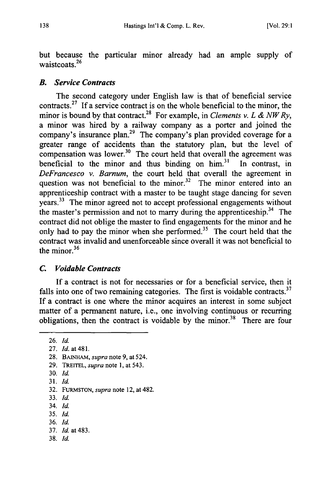but because the particular minor already had an ample supply of waistcoats.<sup>26</sup>

#### *B. Service Contracts*

The second category under English law is that of beneficial service contracts.<sup>27</sup> If a service contract is on the whole beneficial to the minor, the minor is bound by that contract.<sup>28</sup> For example, in *Clements v. L & NW Ry*, a minor was hired by a railway company as a porter and joined the company's insurance plan.<sup>29</sup> The company's plan provided coverage for a greater range of accidents than the statutory plan, but the level of compensation was lower. $30$  The court held that overall the agreement was beneficial to the minor and thus binding on  $\lim_{n \to \infty} 3^n$  In contrast, in *DeFrancesco v. Barnum,* the court held that overall the agreement in question was not beneficial to the minor.<sup>32</sup> The minor entered into an apprenticeship contract with a master to be taught stage dancing for seven years.33 The minor agreed not to accept professional engagements without the master's permission and not to marry during the apprenticeship.<sup>34</sup> The contract did not oblige the master to find engagements for the minor and he only had to pay the minor when she performed.<sup>35</sup> The court held that the contract was invalid and unenforceable since overall it was not beneficial to the minor.<sup>36</sup>

#### *C. Voidable Contracts*

If a contract is not for necessaries or for a beneficial service, then it falls into one of two remaining categories. The first is voidable contracts. $37$ If a contract is one where the minor acquires an interest in some subject matter of a permanent nature, i.e., one involving continuous or recurring obligations, then the contract is voidable by the minor.<sup>38</sup> There are four

26. *Id.* 27. *Id.* at481. 28. **BAINHAM,** *supra* note 9, at 524. 29. TREITEL, *supra* note 1, at 543. 30. Id. 31. *Id.* 32. **FURMSTON,** *supra* note 12, at 482. 33. Id. 34. ld. 35. Id. 36. Id. 37. *Id.* at 483. 38. Id.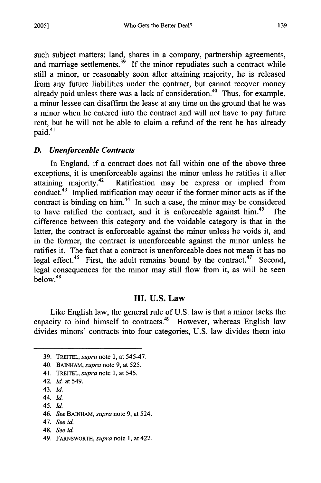such subject matters: land, shares in a company, partnership agreements, and marriage settlements.<sup>39</sup> If the minor repudiates such a contract while still a minor, or reasonably soon after attaining majority, he is released from any future liabilities under the contract, but cannot recover money already paid unless there was a lack of consideration.<sup>40</sup> Thus, for example, a minor lessee can disaffirm the lease at any time on the ground that he was a minor when he entered into the contract and will not have to pay future rent, but he will not be able to claim a refund of the rent he has already paid.<sup>41</sup>

#### *D. Unenforceable Contracts*

In England, if a contract does not fall within one of the above three exceptions, it is unenforceable against the minor unless he ratifies it after attaining majority.42 Ratification may be express or implied from conduct.43 Implied ratification may occur if the former minor acts as if the contract is binding on him.<sup>44</sup> In such a case, the minor may be considered to have ratified the contract, and it is enforceable against him. 45 The difference between this category and the voidable category is that in the latter, the contract is enforceable against the minor unless he voids it, and in the former, the contract is unenforceable against the minor unless he ratifies it. The fact that a contract is unenforceable does not mean it has no legal effect.46 First, the adult remains bound **by** the contract.47 Second, legal consequences for the minor may still flow from it, as will be seen  $below.<sup>48</sup>$ 

#### **III. U.S.** Law

Like English law, the general rule of U.S. law is that a minor lacks the capacity to bind himself to contracts.<sup>49</sup> However, whereas English law divides minors' contracts into four categories, U.S. law divides them into

- 43. *Id.*
- 44. *Id.*
- 45. *Id.*
- 46. *See* **BAINHAM,** *supra* note 9, at 524.
- 47. *See id.*
- 48. *See id.*
- 49. FARNSWORTH, *supra* note 1, at 422.

<sup>39.</sup> TREITEL, *supra* note **1,** at 545-47.

<sup>40.</sup> BAINHAM, *supra* note 9, at 525.

<sup>41.</sup> TREITEL, *supra* note 1, at 545.

<sup>42.</sup> Id. at 549.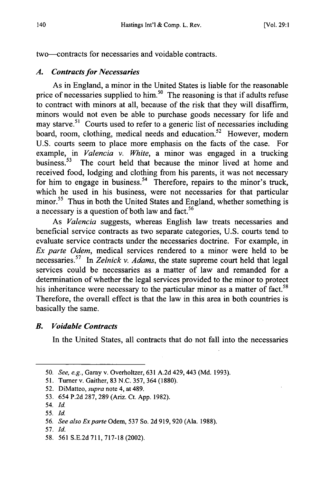two-contracts for necessaries and voidable contracts.

### *A. Contracts for Necessaries*

As in England, a minor in the United States is liable for the reasonable price of necessaries supplied to him.<sup>50</sup> The reasoning is that if adults refuse to contract with minors at all, because of the risk that they will disaffirm, minors would not even be able to purchase goods necessary for life and may starve.<sup>51</sup> Courts used to refer to a generic list of necessaries including board, room, clothing, medical needs and education.<sup>52</sup> However, modern U.S. courts seem to place more emphasis on the facts of the case. For example, in *Valencia v. White,* a minor was engaged in a trucking business.<sup>53</sup> The court held that because the minor lived at home and received food, lodging and clothing from his parents, it was not necessary for him to engage in business.<sup>54</sup> Therefore, repairs to the minor's truck, which he used in his business, were not necessaries for that particular minor.<sup>55</sup> Thus in both the United States and England, whether something is a necessary is a question of both law and fact.<sup>56</sup>

As *Valencia* suggests, whereas English law treats necessaries and beneficial service contracts as two separate categories, U.S. courts tend to evaluate service contracts under the necessaries doctrine. For example, in *Ex parte Odem,* medical services rendered to a minor were held to be necessaries. 57 In *Zelnick v. Adams,* the state supreme court held that legal services could be necessaries as a matter of law and remanded for a determination of whether the legal services provided to the minor to protect his inheritance were necessary to the particular minor as a matter of fact.<sup>58</sup> Therefore, the overall effect is that the law in this area in both countries is basically the same.

### *B. Voidable Contracts*

In the United States, all contracts that do not fall into the necessaries

- 57. *Id.*
- 58. 561 S.E.2d 711, 717-18 (2002).

<sup>50.</sup> *See, e.g.,* Garay v. Overholtzer, 631 A.2d 429, 443 (Md. 1993).

<sup>51.</sup> Turner v. Gaither, 83 N.C. 357, 364 (1880).

<sup>52.</sup> DiMatteo, *supra* note 4, at 489.

<sup>53. 654</sup> P.2d 287, 289 (Ariz. Ct. App. 1982).

<sup>54.</sup> *Id.*

<sup>55.</sup> *Id.*

<sup>56.</sup> *See also Exparte* Odem, 537 So. 2d 919, 920 (Ala. 1988).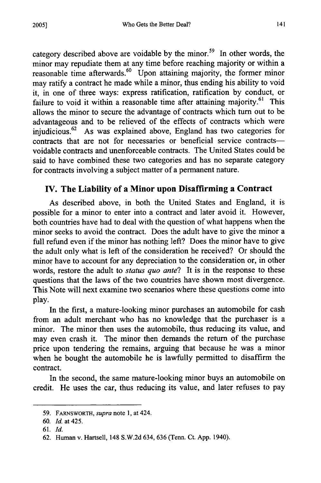category described above are voidable by the minor.<sup>59</sup> In other words, the minor may repudiate them at any time before reaching majority or within a reasonable time afterwards.<sup>60</sup> Upon attaining majority, the former minor may ratify a contract he made while a minor, thus ending his ability to void it, in one of three ways: express ratification, ratification by conduct, or failure to void it within a reasonable time after attaining majority.<sup>61</sup> This allows the minor to secure the advantage of contracts which turn out to be advantageous and to be relieved of the effects of contracts which were injudicious.<sup>62</sup> As was explained above, England has two categories for contracts that are not for necessaries or beneficial service contractsvoidable contracts and unenforceable contracts. The United States could be said to have combined these two categories and has no separate category for contracts involving a subject matter of a permanent nature.

# IV. The Liability **of** a Minor upon Disaffirming a Contract

As described above, in both the United States and England, it is possible for a minor to enter into a contract and later avoid it. However, both countries have had to deal with the question of what happens when the minor seeks to avoid the contract. Does the adult have to give the minor a full refund even if the minor has nothing left? Does the minor have to give the adult only what is left of the consideration he received? Or should the minor have to account for any depreciation to the consideration or, in other words, restore the adult to *status quo ante?* It is in the response to these questions that the laws of the two countries have shown most divergence. This Note will next examine two scenarios where these questions come into play.

In the first, a mature-looking minor purchases an automobile for cash from an adult merchant who has no knowledge that the purchaser is a minor. The minor then uses the automobile, thus reducing its value, and may even crash it. The minor then demands the return of the purchase price upon tendering the remains, arguing that because he was a minor when he bought the automobile he is lawfully permitted to disaffirm the contract.

In the second, the same mature-looking minor buys an automobile on credit. He uses the car, thus reducing its value, and later refuses to pay

<sup>59.</sup> FARNSWORTH, *supra* note 1, at 424.

<sup>60.</sup> Id. at 425.

<sup>61.</sup> *Id.*

<sup>62.</sup> Human v. Hartsell, 148 S.W.2d 634, 636 (Tenn. Ct. App. 1940).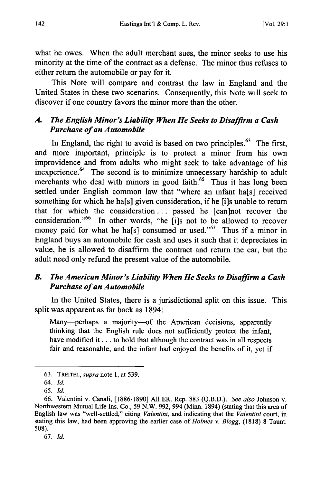what he owes. When the adult merchant sues, the minor seeks to use his minority at the time of the contract as a defense. The minor thus refuses to either return the automobile or pay for it.

This Note will compare and contrast the law in England and the United States in these two scenarios. Consequently, this Note will seek to discover if one country favors the minor more than the other.

#### *A. The English Minor's Liability When He Seeks to Disaffirm a Cash Purchase of an Automobile*

In England, the right to avoid is based on two principles. $63$  The first, and more important, principle is to protect a minor from his own improvidence and from adults who might seek to take advantage of his inexperience. 64 The second is to minimize unnecessary hardship to adult merchants who deal with minors in good faith.<sup>65</sup> Thus it has long been settled under English common law that "where an infant ha[s] received something for which he ha[s] given consideration, if he [i]s unable to return that for which the consideration. **..** passed he [can]not recover the consideration."<sup>66</sup> In other words, "he [i]s not to be allowed to recover money paid for what he ha[s] consumed or used."<sup>67</sup> Thus if a minor in England buys an automobile for cash and uses it such that it depreciates in value, he is allowed to disaffirm the contract and return the car, but the adult need only refund the present value of the automobile.

#### *B. The American Minor's Liability When He Seeks to Disaffirm a Cash Purchase of an Automobile*

In the United States, there is a jurisdictional split on this issue. This split was apparent as far back as 1894:

Many-perhaps a majority-of the American decisions, apparently thinking that the English rule does not sufficiently protect the infant, have modified it... to hold that although the contract was in all respects fair and reasonable, and the infant had enjoyed the benefits of it, yet if

67. Id.

<sup>63.</sup> TREITEL, *supra* note 1, at 539.

*<sup>64.</sup> Id.*

*<sup>65.</sup>* **Id.**

<sup>66.</sup> Valentini v. Canali, [1886-1890] All ER. Rep. 883 (Q.B.D.). *See also* Johnson v. Northwestern Mutual Life Ins. Co., 59 N.W. 992, 994 (Minn. 1894) (stating that this area of English law was "well-settled," citing *Valentini,* and indicating that the *Valentini* court, in stating this law, had been approving the earlier case of *Holmes v. Blogg,* (1818) 8 Taunt. 508).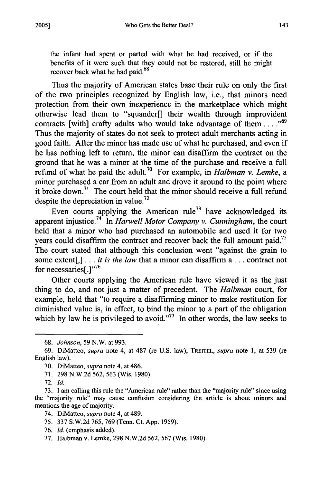the infant had spent or parted with what he had received, or if the benefits of it were such that they could not be restored, still he might recover back what he had paid.<sup>68</sup>

Thus the majority of American states base their rule on only the first of the two principles recognized by English law, i.e., that minors need protection from their own inexperience in the marketplace which might otherwise lead them to "squander[] their wealth through improvident contracts [with] crafty adults who would take advantage of them ....<sup>569</sup> Thus the majority of states do not seek to protect adult merchants acting in good faith. After the minor has made use of what he purchased, and even if he has nothing left to return, the minor can disaffirm the contract on the ground that he was a minor at the time of the purchase and receive a full refund of what he paid the adult.70 For example, in *Halbman v. Lemke, a* minor purchased a car from an adult and drove it around to the point where it broke down.<sup>71</sup> The court held that the minor should receive a full refund despite the depreciation in value.<sup>72</sup>

Even courts applying the American rule<sup>73</sup> have acknowledged its apparent injustice.74 In *Harwell Motor Company v. Cunningham,* the court held that a minor who had purchased an automobile and used it for two years could disaffirm the contract and recover back the full amount paid.<sup>75</sup> The court stated that although this conclusion went "against the grain to some extent[,] **...** *it is the law* that a minor can disaffirm a **...** contract not for necessaries[.] $" <sup>76</sup>$ 

Other courts applying the American rule have viewed it as the just thing to do, and not just a matter of precedent. The *Halbman* court, for example, held that "to require a disaffirming minor to make restitution for diminished value is, in effect, to bind the minor to a part of the obligation which by law he is privileged to avoid."<sup> $77$ </sup> In other words, the law seeks to

<sup>68.</sup> *Johnson,* 59 N.W. at 993.

<sup>69.</sup> DiMatteo, *supra* note 4, at 487 (re U.S. law); TREITEL, *supra* note 1, at 539 (re English law).

<sup>70.</sup> DiMatteo, *supra* note 4, at 486.

<sup>71. 298</sup> N.W.2d 562, 563 (Wis. 1980).

<sup>72.</sup> *Id.*

<sup>73.</sup> I am calling this rule the "American rule" rather than the "majority rule" since using the "majority rule" may cause confusion considering the article is about minors and mentions the age of majority.

<sup>74.</sup> DiMatteo, *supra* note 4, at 489.

<sup>75. 337</sup> S.W.2d 765, 769 (Tenn. Ct. App. 1959).

<sup>76.</sup> Id. (emphasis added).

<sup>77.</sup> Halbman v. Lemke, 298 N.W.2d 562, 567 (Wis. 1980).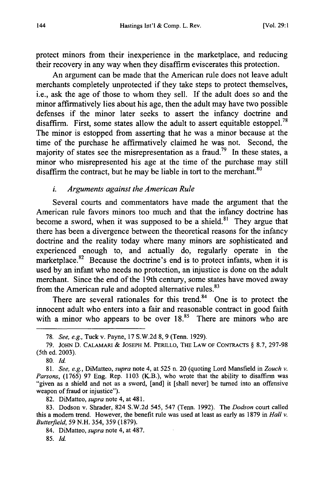protect minors from their inexperience in the marketplace, and reducing their recovery in any way when they disaffirm eviscerates this protection.

An argument can be made that the American rule does not leave adult merchants completely unprotected if they take steps to protect themselves, i.e., ask the age of those to whom they sell. If the adult does so and the minor affirmatively lies about his age, then the adult may have two possible defenses if the minor later seeks to assert the infancy doctrine and disaffirm. First, some states allow the adult to assert equitable estoppel.<sup>78</sup> The minor is estopped from asserting that he was a minor because at the time of the purchase he affirmatively claimed he was not. Second, the majority of states see the misrepresentation as a fraud.<sup>79</sup> In these states, a minor who misrepresented his age at the time of the purchase may still disaffirm the contract, but he may be liable in tort to the merchant. $80$ 

#### *i. Arguments against the American Rule*

Several courts and commentators have made the argument that the American rule favors minors too much and that the infancy doctrine has become a sword, when it was supposed to be a shield.<sup>81</sup> They argue that there has been a divergence between the theoretical reasons for the infancy doctrine and the reality today where many minors are sophisticated and experienced enough to, and actually do, regularly operate in the marketplace. $82$  Because the doctrine's end is to protect infants, when it is used by an infant who needs no protection, an injustice is done on the adult merchant. Since the end of the 19th century, some states have moved away from the American rule and adopted alternative rules.<sup>83</sup>

There are several rationales for this trend.<sup>84</sup> One is to protect the innocent adult who enters into a fair and reasonable contract in good faith with a minor who appears to be over  $18<sup>85</sup>$  There are minors who are

80. **Id.**

<sup>78.</sup> *See, e.g.,* Tuck v. Payne, 17 S.W.2d 8, 9 (Tenn. 1929).

<sup>79.</sup> JOHN D. CALAMARI & **JOSEPH** M. PERILLO, THE LAW OF **CONTRACTS** § 8.7, 297-98 (5th ed. 2003).

<sup>81.</sup> *See, e.g.,* DiMatteo, *supra* note 4, at 525 n. 20 (quoting Lord Mansfield in *Zouch v. Parsons,* (1765) 97 Eng. Rep. 1103 (K.B.), who wrote that the ability to disaffirm was "given as a shield and not as a sword, [and] it [shall never] be turned into an offensive weapon of fraud or injustice").

<sup>82.</sup> DiMatteo, *supra* note 4, at 481.

<sup>83.</sup> Dodson v. Shrader, 824 S.W.2d 545, 547 (Tenn. 1992). The *Dodson* court called this a modem trend. However, the benefit rule was used at least as early as 1879 in *Hall v. Butterfield,* 59 N.H. 354, 359 (1879).

<sup>84.</sup> DiMatteo, *supra* note 4, at 487.

<sup>85.</sup> *Id.*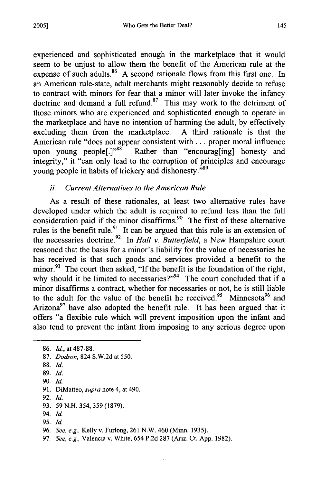experienced and sophisticated enough in the marketplace that it would seem to be unjust to allow them the benefit of the American rule at the expense of such adults. $86$  A second rationale flows from this first one. In an American rule-state, adult merchants might reasonably decide to refuse to contract with minors for fear that a minor will later invoke the infancy doctrine and demand a full refund. $87$  This may work to the detriment of those minors who are experienced and sophisticated enough to operate in the marketplace and have no intention of harming the adult, by effectively excluding them from the marketplace. A third rationale is that the American rule "does not appear consistent with . . . proper moral influence upon young people<sup>[1], 1988</sup> Rather than "encourag[ing] honesty and integrity," it "can only lead to the corruption of principles and encourage young people in habits of trickery and dishonesty."<sup>89</sup>

## *ii. Current Alternatives to the American Rule*

As a result of these rationales, at least two alternative rules have developed under which the adult is required to refund less than the full consideration paid if the minor disaffirms.<sup>90</sup> The first of these alternative rules is the benefit rule.<sup>91</sup> It can be argued that this rule is an extension of the necessaries doctrine.92 In *Hall v. Butterfield,* a New Hampshire court reasoned that the basis for a minor's liability for the value of necessaries he has received is that such goods and services provided a benefit to the minor.<sup>93</sup> The court then asked, "If the benefit is the foundation of the right, why should it be limited to necessaries?" $94$  The court concluded that if a minor disaffirms a contract, whether for necessaries or not, he is still liable to the adult for the value of the benefit he received.<sup>95</sup> Minnesota<sup>96</sup> and Arizona<sup>97</sup> have also adopted the benefit rule. It has been argued that it offers "a flexible rule which will prevent imposition upon the infant and also tend to prevent the infant from imposing to any serious degree upon

- 92. *Id.*
- 93. 59 N.H. 354, 359 (1879).
- 94. Id.
- 95. Id.

97. *See, e.g.,* Valencia v. White, 654 P.2d 287 (Ariz. Ct. App. 1982).

<sup>86.</sup> *Id.,* at 487-88.

<sup>87.</sup> *Dodson,* 824 S.W.2d at 550.

<sup>88.</sup> *Id.*

<sup>89.</sup> *Id.*

<sup>90.</sup> Id.

<sup>91.</sup> DiMatteo, *supra* note 4, at 490.

<sup>96.</sup> *See, e.g.,* Kelly v. Furlong, 261 N.W. 460 (Minn. 1935).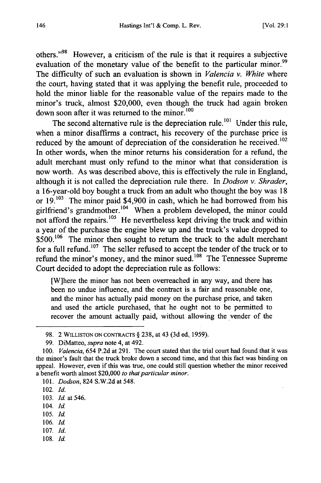others."<sup>98</sup> However, a criticism of the rule is that it requires a subjective evaluation of the monetary value of the benefit to the particular minor.<sup>99</sup> The difficulty of such an evaluation is shown in *Valencia v. White* where the court, having stated that it was applying the benefit rule, proceeded to hold the minor liable for the reasonable value of the repairs made to the minor's truck, almost \$20,000, even though the truck had again broken down soon after it was returned to the minor.<sup>100</sup>

The second alternative rule is the depreciation rule.<sup>101</sup> Under this rule, when a minor disaffirms a contract, his recovery of the purchase price is reduced by the amount of depreciation of the consideration he received.<sup>102</sup> In other words, when the minor returns his consideration for a refund, the adult merchant must only refund to the minor what that consideration is now worth. As was described above, this is effectively the rule in England, although it is not called the depreciation rule there. In *Dodson v. Shrader,* a 16-year-old boy bought a truck from an adult who thought the boy was 18 or **19.103** The minor paid \$4,900 in cash, which he had borrowed from his girlfriend's grandmother.<sup>104</sup> When a problem developed, the minor could not afford the repairs.<sup>105</sup> He nevertheless kept driving the truck and within a year of the purchase the engine blew up and the truck's value dropped to \$500.<sup>106</sup> The minor then sought to return the truck to the adult merchant for a full refund.<sup>107</sup> The seller refused to accept the tender of the truck or to refund the minor's money, and the minor sued.<sup>108</sup> The Tennessee Supreme Court decided to adopt the depreciation rule as follows:

[W]here the minor has not been overreached in any way, and there has been no undue influence, and the contract is a fair and reasonable one, and the minor has actually paid money on the purchase price, and taken and used the article purchased, that he ought not to be permitted to recover the amount actually paid, without allowing the vender of the

- 104. Id.
- 105. Id.
- 106. Id.
- 107. *Id.*
- 108. **Id.**

<sup>98. 2</sup> WILLISTON **ON CONTRACTS** § 238, at 43 (3d ed.. 1959).

<sup>99.</sup> DiMatteo, *supra* note 4, at 492.

<sup>100.</sup> *Valencia,* 654 P.2d at 291. The court stated that the trial court had found that it was the minor's fault that the truck broke down a second time, and that this fact was binding on appeal. However, even if this was true, one could still question whether the minor received a benefit worth almost \$20,000 *to that particular minor.*

<sup>101.</sup> *Dodson,* 824 S.W.2d at 548.

<sup>102.</sup> *Id.*

<sup>103.</sup> *Id.* at 546.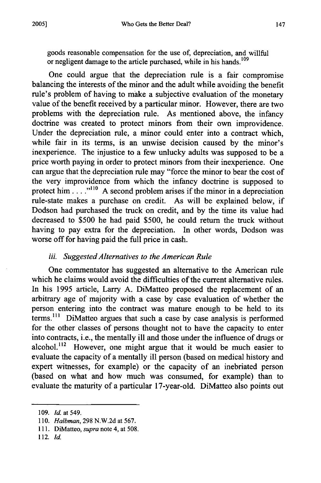goods reasonable compensation for the use of, depreciation, and willful or negligent damage to the article purchased, while in his hands.<sup>109</sup>

One could argue that the depreciation rule is a fair compromise balancing the interests of the minor and the adult while avoiding the benefit rule's problem of having to make a subjective evaluation of the monetary value of the benefit received by a particular minor. However, there are two problems with the depreciation rule. As mentioned above, the infancy doctrine was created to protect minors from their own improvidence. Under the depreciation rule, a minor could enter into a contract which, while fair in its terms, is an unwise decision caused by the minor's inexperience. The injustice to a few unlucky adults was supposed to be a price worth paying in order to protect minors from their inexperience. One can argue that the depreciation rule may "force the minor to bear the cost of the very improvidence from which the infancy doctrine is supposed to protect him....<sup>"110</sup> A second problem arises if the minor in a depreciation rule-state makes a purchase on credit. As will be explained below, if Dodson had purchased the truck on credit, and by the time its value had decreased to \$500 he had paid \$500, he could return the truck without having to pay extra for the depreciation. In other words, Dodson was worse off for having paid the full price in cash.

### *iii. Suggested Alternatives to the American Rule*

One commentator has suggested an alternative to the American rule which he claims would avoid the difficulties of the current alternative rules. In his 1995 article, Larry A. DiMatteo proposed the replacement of an arbitrary age of majority with a case by case evaluation of whether the person entering into the contract was mature enough to be held to its terms.<sup>111</sup> DiMatteo argues that such a case by case analysis is performed for the other classes of persons thought not to have the capacity to enter into contracts, i.e., the mentally ill and those under the influence of drugs or alcohol.<sup>112</sup> However, one might argue that it would be much easier to evaluate the capacity of a mentally ill person (based on medical history and expert witnesses, for example) or the capacity of an inebriated person (based on what and how much was consumed, for example) than to evaluate the maturity of a particular 17-year-old. DiMatteo also points out

**<sup>109.</sup>** *Id.* at 549.

<sup>110.</sup> *Halbman,* 298 N.W.2d at 567.

<sup>111.</sup> DiMatteo, *supra* note 4, at 508.

<sup>112.</sup> Id.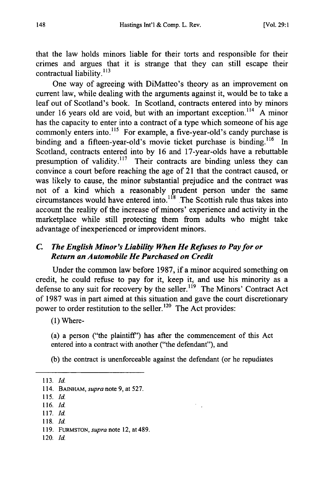that the law holds minors liable for their torts and responsible for their crimes and argues that it is strange that they can still escape their contractual liability. $^{113}$ 

One way of agreeing with DiMatteo's theory as an improvement on current law, while dealing with the arguments against it, would be to take a leaf out of Scotland's book. In Scotland, contracts entered into by minors under 16 years old are void, but with an important exception.<sup>114</sup> A minor has the capacity to enter into a contract of a type which someone of his age commonly enters into.<sup>115</sup> For example, a five-year-old's candy purchase is binding and a fifteen-year-old's movie ticket purchase is binding.<sup>116</sup> In Scotland, contracts entered into by 16 and 17-year-olds have a rebuttable presumption of validity.<sup>117</sup> Their contracts are binding unless they can convince a court before reaching the age of 21 that the contract caused, or was likely to cause, the minor substantial prejudice and the contract was not of a kind which a reasonably prudent person under the same circumstances would have entered into.<sup>118</sup> The Scottish rule thus takes into account the reality of the increase of minors' experience and activity in the marketplace while still protecting them from adults who might take advantage of inexperienced or improvident minors.

## *C. The English Minor's Liability When He Refuses to Pay for or Return an Automobile He Purchased on Credit*

Under the common law before **1987,** if a minor acquired something on credit, he could refuse to pay for it, keep it, and use his minority as a defense to any suit for recovery by the seller.<sup>119</sup> The Minors' Contract Act of **1987** was in part aimed at this situation and gave the court discretionary power to order restitution to the seller.<sup>120</sup> The Act provides:

**(1)** Where-

(a) a person ("the plaintiff') has after the commencement of this Act entered into a contract with another ("the defendant"), and

(b) the contract is unenforceable against the defendant (or he repudiates

- 115. *Id.*
- 116. *Id.*
- 117. *Id.*
- 118. *Id.*
- 119. FURMSTON, *supra* note 12, at 489.
- 120. *Id.*

<sup>113.</sup> *Id.*

<sup>114.</sup> BAINHAM, *supra* note 9, at 527.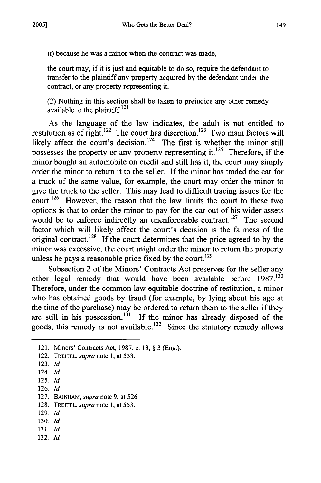it) because he was a minor when the contract was made,

the court may, if it is just and equitable to do so, require the defendant to transfer to the plaintiff any property acquired by the defendant under the contract, or any property representing it.

(2) Nothing in this section shall be taken to prejudice any other remedy available to the plaintiff.<sup>121</sup>

As the language of the law indicates, the adult is not entitled to restitution as of right.<sup>122</sup> The court has discretion.<sup>123</sup> Two main factors will likely affect the court's decision.<sup>124</sup> The first is whether the minor still possesses the property or any property representing it.<sup>125</sup> Therefore, if the minor bought an automobile on credit and still has it, the court may simply order the minor to return it to the seller. If the minor has traded the car for a truck of the same value, for example, the court may order the minor to give the truck to the seller. This may lead to difficult tracing issues for the court.<sup>126</sup> However, the reason that the law limits the court to these two options is that to order the minor to pay for the car out of his wider assets would be to enforce indirectly an unenforceable contract.<sup>127</sup> The second factor which will likely affect the court's decision is the fairness of the original contract.<sup>128</sup> If the court determines that the price agreed to by the minor was excessive, the court might order the minor to return the property unless he pays a reasonable price fixed by the court.<sup>129</sup>

Subsection 2 of the Minors' Contracts Act preserves for the seller any other legal remedy that would have been available before  $1987$ .<sup>130</sup> Therefore, under the common law equitable doctrine of restitution, a minor who has obtained goods by fraud (for example, by lying about his age at the time of the purchase) may be ordered to return them to the seller if they are still in his possession.<sup>131</sup> If the minor has already disposed of the goods, this remedy is not available.<sup>132</sup> Since the statutory remedy allows

- 126. Id.
- 127. BAINHAM, *supra* note 9, at 526.
- 128. TREITEL, *supra* note 1, at 553.
- 129. *Id.*
- 130. **Id.**
- **131.** Id.
- 132. *Id.*

<sup>121.</sup> Minors' Contracts Act, 1987, c. 13, § 3 (Eng.).

<sup>122.</sup> TREITEL, *supra* note 1, at 553.

<sup>123.</sup> Id.

<sup>124.</sup> **Id.**

<sup>125.</sup> **Id.**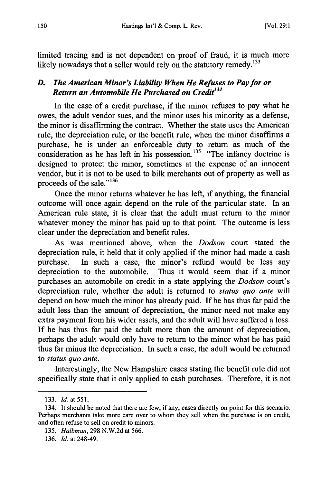limited tracing and is not dependent on proof of fraud, it is much more likely nowadays that a seller would rely on the statutory remedy.<sup>133</sup>

#### *D. The American Minor's Liability When He Refuses to Pay for or Return an Automobile He Purchased on Credit <sup>34</sup>*

In the case of a credit purchase, if the minor refuses to pay what he owes, the adult vendor sues, and the minor uses his minority as a defense, the minor is disaffirming the contract. Whether the state uses the American rule, the depreciation rule, or the benefit rule, when the minor disaffirms a purchase, he is under an enforceable duty to return as much of the consideration as he has left in his possession.<sup>135</sup> "The infancy doctrine is designed to protect the minor, sometimes at the expense of an innocent vendor, but it is not to be used to bilk merchants out of property as well as proceeds of the sale."<sup>136</sup>

Once the minor returns whatever he has left, if anything, the financial outcome will once again depend on the rule of the particular state. In an American rule state, it is clear that the adult must return to the minor whatever money the minor has paid up to that point. The outcome is less clear under the depreciation and benefit rules.

As was mentioned above, when the *Dodson* court stated the depreciation rule, it held that it only applied if the minor had made a cash purchase. In such a case, the minor's refund would be less any depreciation to the automobile. Thus it would seem that if a minor purchases an automobile on credit in a state applying the *Dodson* court's depreciation rule, whether the adult is returned to *status quo ante* will depend on how much the minor has already paid. If he has thus far paid the adult less than the amount of depreciation, the minor need not make any extra payment from his wider assets, and the adult will have suffered a loss. If he has thus far paid the adult more than the amount of depreciation, perhaps the adult would only have to return to the minor what he has paid thus far minus the depreciation. In such a case, the adult would be returned to *status quo* ante.

Interestingly, the New Hampshire cases stating the benefit rule did not specifically state that it only applied to cash purchases. Therefore, it is not

<sup>133.</sup> *Id.* at 551.

<sup>134.</sup> It should be noted that there are few, if any, cases directly on point for this scenario. Perhaps merchants take more care over to whom they sell when the purchase is on credit, and often refuse to sell on credit to minors.

<sup>135.</sup> *Halbman,* 298 N.W.2d at 566.

<sup>136.</sup> Id. at 248-49.